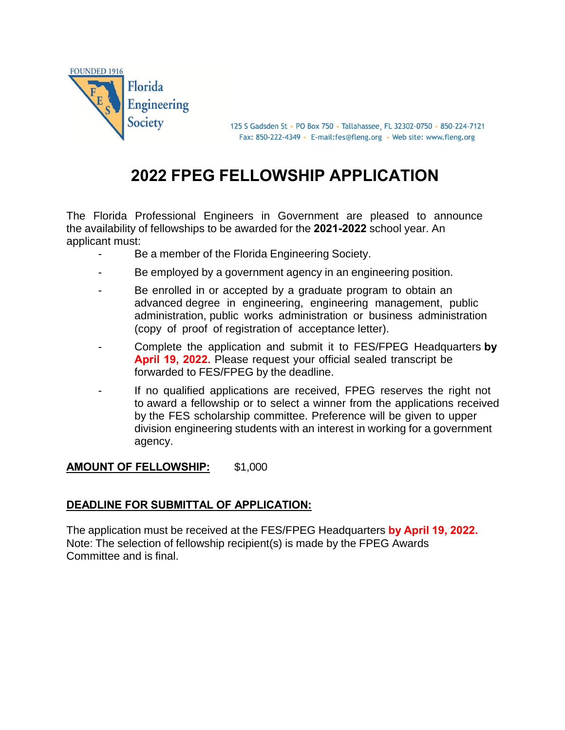

125 S Gadsden St · PO Box 750 · Tallahassee, FL 32302-0750 · 850-224-7121 Fax: 850-222-4349 · E-mail:fes@fleng.org · Web site: www.fleng.org

# **2022 FPEG FELLOWSHIP APPLICATION**

The Florida Professional Engineers in Government are pleased to announce the availability of fellowships to be awarded for the **2021-2022** school year. An applicant must:

- Be a member of the Florida Engineering Society.
- Be employed by a government agency in an engineering position.
- Be enrolled in or accepted by a graduate program to obtain an advanced degree in engineering, engineering management, public administration, public works administration or business administration (copy of proof of registration of acceptance letter).
- Complete the application and submit it to FES/FPEG Headquarters **by April 19, 2022.** Please request your official sealed transcript be forwarded to FES/FPEG by the deadline.
- If no qualified applications are received, FPEG reserves the right not to award a fellowship or to select a winner from the applications received by the FES scholarship committee. Preference will be given to upper division engineering students with an interest in working for a government agency.

### **AMOUNT OF FELLOWSHIP:** \$1,000

### **DEADLINE FOR SUBMITTAL OF APPLICATION:**

The application must be received at the FES/FPEG Headquarters **by April 19, 2022.** Note: The selection of fellowship recipient(s) is made by the FPEG Awards Committee and is final.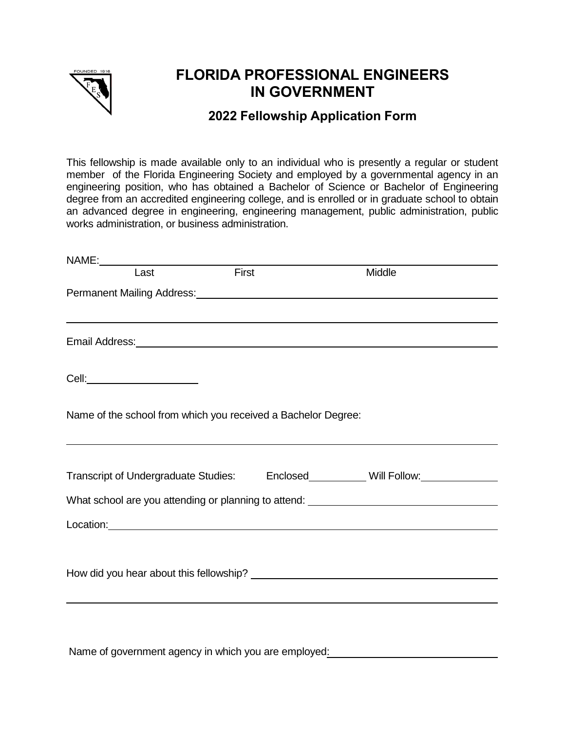

# **FLORIDA PROFESSIONAL ENGINEERS IN GOVERNMENT**

## **2022 Fellowship Application Form**

This fellowship is made available only to an individual who is presently a regular or student member of the Florida Engineering Society and employed by a governmental agency in an engineering position, who has obtained a Bachelor of Science or Bachelor of Engineering degree from an accredited engineering college, and is enrolled or in graduate school to obtain an advanced degree in engineering, engineering management, public administration, public works administration, or business administration.

| NAME: |                                                                                                                                                   |       |                                                                                  |  |
|-------|---------------------------------------------------------------------------------------------------------------------------------------------------|-------|----------------------------------------------------------------------------------|--|
|       | Last                                                                                                                                              | First | Middle                                                                           |  |
|       | Permanent Mailing Address: Management Contract Mailing Address: Management Contract Mailing Address:                                              |       |                                                                                  |  |
|       |                                                                                                                                                   |       |                                                                                  |  |
|       | Email Address: No. 2014 19:00 No. 2014 19:00 No. 2014 19:00 No. 2014 19:00 No. 2014 19:00 No. 2014 19:00 No. 2                                    |       |                                                                                  |  |
|       | Cell:_________________________                                                                                                                    |       |                                                                                  |  |
|       | Name of the school from which you received a Bachelor Degree:<br>,我们也不会有什么。""我们的人,我们也不会有什么?""我们的人,我们也不会有什么?""我们的人,我们也不会有什么?""我们的人,我们也不会有什么?""我们的人 |       |                                                                                  |  |
|       |                                                                                                                                                   |       | Transcript of Undergraduate Studies: Enclosed_________ Will Follow:_____________ |  |
|       |                                                                                                                                                   |       | What school are you attending or planning to attend: ___________________________ |  |
|       | Location: <u>www.common.common.common.common.common.common.common.common.common.com</u>                                                           |       |                                                                                  |  |
|       |                                                                                                                                                   |       |                                                                                  |  |
|       |                                                                                                                                                   |       |                                                                                  |  |

Name of government agency in which you are employed: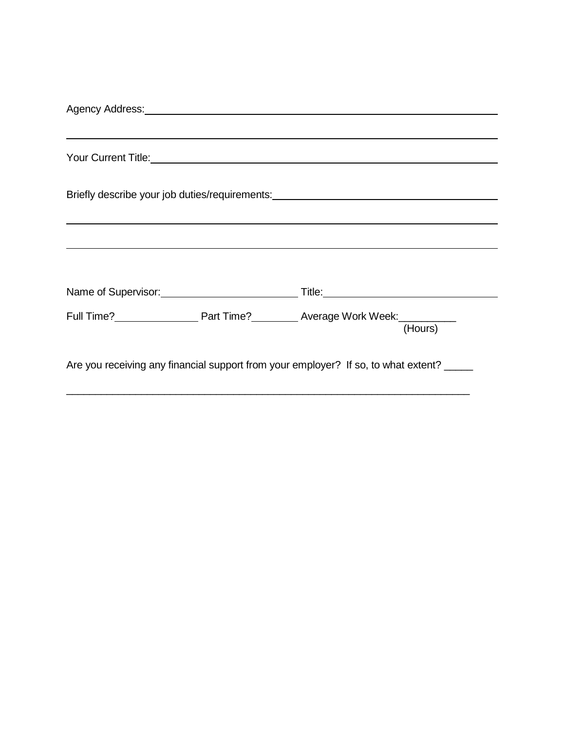| Agency Address: New York Changes and Changes and Changes and Changes and Changes and Changes and Changes and Changes and Changes and Changes and Changes and Changes and Changes and Changes and Changes and Changes and Chang |  |                                                                                                      |  |  |  |  |  |  |
|--------------------------------------------------------------------------------------------------------------------------------------------------------------------------------------------------------------------------------|--|------------------------------------------------------------------------------------------------------|--|--|--|--|--|--|
|                                                                                                                                                                                                                                |  |                                                                                                      |  |  |  |  |  |  |
|                                                                                                                                                                                                                                |  |                                                                                                      |  |  |  |  |  |  |
|                                                                                                                                                                                                                                |  |                                                                                                      |  |  |  |  |  |  |
| Briefly describe your job duties/requirements: _________________________________                                                                                                                                               |  |                                                                                                      |  |  |  |  |  |  |
|                                                                                                                                                                                                                                |  |                                                                                                      |  |  |  |  |  |  |
|                                                                                                                                                                                                                                |  |                                                                                                      |  |  |  |  |  |  |
|                                                                                                                                                                                                                                |  |                                                                                                      |  |  |  |  |  |  |
|                                                                                                                                                                                                                                |  | Name of Supervisor: Title: Title: Title:                                                             |  |  |  |  |  |  |
|                                                                                                                                                                                                                                |  | Full Time? <b>Full Time</b> Part Time? <b>Example 20 Average Work Week</b> : <b>Hours</b><br>(Hours) |  |  |  |  |  |  |
|                                                                                                                                                                                                                                |  | Are you receiving any financial support from your employer? If so, to what extent?                   |  |  |  |  |  |  |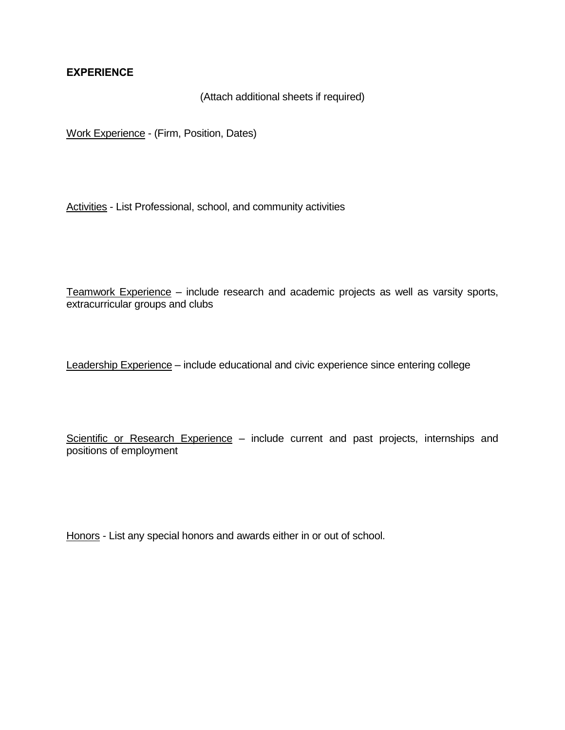#### **EXPERIENCE**

#### (Attach additional sheets if required)

Work Experience - (Firm, Position, Dates)

Activities - List Professional, school, and community activities

Teamwork Experience – include research and academic projects as well as varsity sports, extracurricular groups and clubs

Leadership Experience – include educational and civic experience since entering college

Scientific or Research Experience – include current and past projects, internships and positions of employment

Honors - List any special honors and awards either in or out of school.